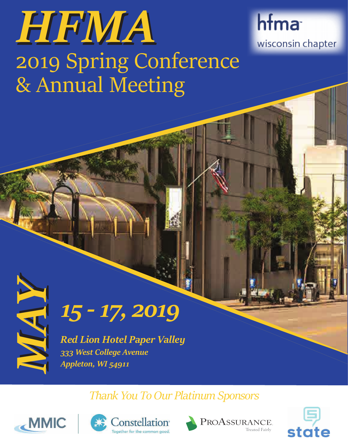# HEMA 2019 Spring Conference & Annual Meeting

hfma wisconsin chapter



*MAY15 - 17, 2019*

*Red Lion Hotel Paper Valley 333 West College Avenue Appleton, WI 54911*

*Thank You To Our Platinum Sponsors*









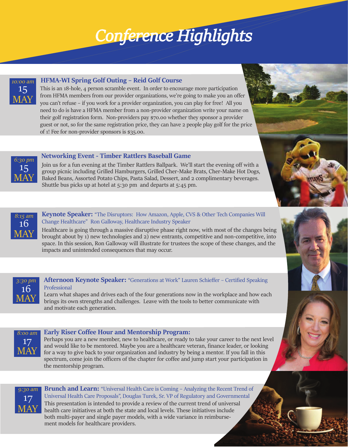#### **Wed. May 15th** *Conference Highlights Confer Conference Highlights*

**10:00 am**



#### **HFMA-WI Spring Golf Outing – Reid Golf Course**

This is an 18-hole, 4 person scramble event. In order to encourage more participation from HFMA members from our provider organizations, we're going to make you an offer you can't refuse – if you work for a provider organization, you can play for free! All you need to do is have a HFMA member from a non-provider organization write your name on their golf registration form. Non-providers pay \$70.00 whether they sponsor a provider guest or not, so for the same registration price, they can have 2 people play golf for the price of 1! Fee for non-provider sponsors is \$35.00.



Join us for a fun evening at the Timber Rattlers Ballpark. We'll start the evening off with a group picnic including Grilled Hamburgers, Grilled Cher-Make Brats, Cher-Make Hot Dogs, Baked Beans, Assorted Potato Chips, Pasta Salad, Dessert, and 2 complimentary beverages. Shuttle bus picks up at hotel at 5:30 pm and departs at 5:45 pm.



15 MAY

*6:30 pm*

#### **Keynote Speaker:** "The Disruptors: How Amazon, Apple, CVS & Other Tech Companies Will Change Healthcare" Ron Galloway, Healthcare Industry Speaker

Healthcare is going through a massive disruptive phase right now, with most of the changes being brought about by 1) new technologies and 2) new entrants, competitive and non-competitive, into space. In this session, Ron Galloway will illustrate for trustees the scope of these changes, and the impacts and unintended consequences that may occur.



#### **Afternoon Keynote Speaker:** "Generations at Work" Lauren Schieffer – Certified Speaking Professional

Learn what shapes and drives each of the four generations now in the workplace and how each brings its own strengths and challenges. Leave with the tools to better communicate with and motivate each generation.



#### **Early Riser Coffee Hour and Mentorship Program:**

Perhaps you are a new member, new to healthcare, or ready to take your career to the next level and would like to be mentored. Maybe you are a healthcare veteran, finance leader, or looking for a way to give back to your organization and industry by being a mentor. If you fall in this spectrum, come join the officers of the chapter for coffee and jump start your participation in the mentorship program.



**Brunch and Learn:** "Universal Health Care is Coming – Analyzing the Recent Trend of Universal Health Care Proposals", Douglas Turek, Sr. VP of Regulatory and Governmental This presentation is intended to provide a review of the current trend of universal health care initiatives at both the state and local levels. These initiatives include both multi-payer and single payer models, with a wide variance in reimbursement models for healthcare providers.

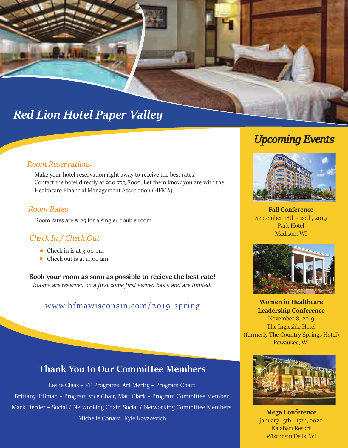## *Wilderness Resort Red Lion Hotel Paper Valley*

#### **Room Reservations**

Make your hotel reservation right away to receive the best rates! Contact the hotel directly at 920.733.8000. Let them know you are with the Healthcare Financial Management Association (HFMA).

#### **Room Rates**

Room rates are \$125 for a single/ double room.

#### Check In / Check Out

- Check in is at 3:00 pm
- Check out is at 11:00 am

**Book your room as soon as possible to recieve the best rate!** *Rooms are reserved on a first come first served basis and are limited.*

## www.hfmawisconsin.com/2019-spring **Women in Healthcare**

## **Thank You to Our Committee Members**

Leslie Claas – VP Programs, Art Mertig – Program Chair, Brittany Tillman – Program Vice Chair, Matt Clark – Program Committee Member, Mark Herder – Social / Networking Chair, Social / Networking Committee Members, Michelle Conard, Kyle Kovacevich

## *Upcoming Events*



**Fall Conference** September 18th - 20th, 2019 Park Hotel Madison, WI



**Leadership Conference** November 8, 2019 The Ingleside Hotel (formerly The Country Springs Hotel) Pewaukee, WI



**Mega Conference** January 15th - 17th, 2020 Kalahari Resort Wisconsin Dells, WI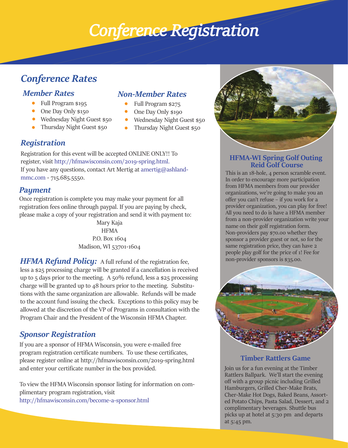## *Conference HConference Registration ighlights*

## *Conference Rates*

## *Member Rates*

- Full Program \$195
- One Day Only \$150
- Wednesday Night Guest \$50
- Thursday Night Guest \$50

### *Non-Member Rates*

- Full Program \$275
- One Day Only \$190
- Wednesday Night Guest \$50
- Thursday Night Guest \$50  $\bullet$  .

## *Registration*

Registration for this event will be accepted ONLINE ONLY!! To register, visit http://hfmawisconsin.com/2019-spring.html. If you have any questions, contact Art Mertig at amertig@ashlandmmc.com - 715.685.5550.

### *Payment*

Once registration is complete you may make your payment for all registration fees online through paypal. If you are paying by check, please make a copy of your registration and send it with payment to:

> Mary Kaja HFMA P.O. Box 1604 Madison, WI 53701-1604

**HFMA Refund Policy:** A full refund of the registration fee, less a \$25 processing charge will be granted if a cancellation is received up to 5 days prior to the meeting. A  $50\%$  refund, less a \$25 processing charge will be granted up to 48 hours prior to the meeting. Substitutions with the same organization are allowable. Refunds will be made to the account fund issuing the check. Exceptions to this policy may be allowed at the discretion of the VP of Programs in consultation with the Program Chair and the President of the Wisconsin HFMA Chapter.

## *Sponsor Registration*

If you are a sponsor of HFMA Wisconsin, you were e-mailed free program registration certificate numbers. To use these certificates, please register online at http://hfmawisconsin.com/2019-spring.html and enter your certificate number in the box provided.

To view the HFMA Wisconsin sponsor listing for information on complimentary program registration, visit http://hfmawisconsin.com/become-a-sponsor.html



#### **HFMA-WI Spring Golf Outing Reid Golf Course**

This is an 18-hole, 4 person scramble event. In order to encourage more participation from HFMA members from our provider organizations, we're going to make you an offer you can't refuse – if you work for a provider organization, you can play for free! All you need to do is have a HFMA member from a non-provider organization write your name on their golf registration form. Non-providers pay \$70.00 whether they sponsor a provider guest or not, so for the same registration price, they can have 2 people play golf for the price of 1! Fee for non-provider sponsors is \$35.00.



#### **Timber Rattlers Game**

Join us for a fun evening at the Timber Rattlers Ballpark. We'll start the evening off with a group picnic including Grilled Hamburgers, Grilled Cher-Make Brats, Cher-Make Hot Dogs, Baked Beans, Assorted Potato Chips, Pasta Salad, Dessert, and 2 complimentary beverages. Shuttle bus picks up at hotel at 5:30 pm and departs at 5:45 pm.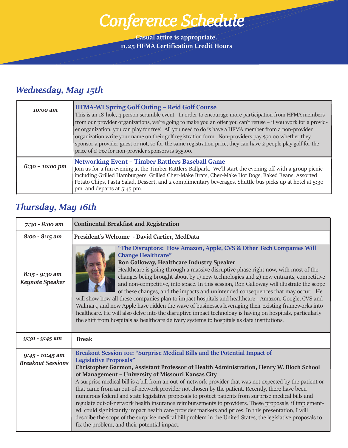*Conference Highlights Conference Schedule*

T

**Casual attire is appropriate. 11.25 HFMA Certification Credit Hours**

## *Wednesday, May 15th*

| 10:00 am          | <b>HFMA-WI Spring Golf Outing - Reid Golf Course</b><br>This is an 18-hole, 4 person scramble event. In order to encourage more participation from HFMA members<br>from our provider organizations, we're going to make you an offer you can't refuse – if you work for a provid-<br>er organization, you can play for free! All you need to do is have a HFMA member from a non-provider<br>organization write your name on their golf registration form. Non-providers pay \$70.00 whether they<br>sponsor a provider guest or not, so for the same registration price, they can have 2 people play golf for the<br>price of 1! Fee for non-provider sponsors is \$35.00. |
|-------------------|-----------------------------------------------------------------------------------------------------------------------------------------------------------------------------------------------------------------------------------------------------------------------------------------------------------------------------------------------------------------------------------------------------------------------------------------------------------------------------------------------------------------------------------------------------------------------------------------------------------------------------------------------------------------------------|
| $6:30 - 10:00$ pm | <b>Networking Event - Timber Rattlers Baseball Game</b><br>Join us for a fun evening at the Timber Rattlers Ballpark. We'll start the evening off with a group picnic<br>including Grilled Hamburgers, Grilled Cher-Make Brats, Cher-Make Hot Dogs, Baked Beans, Assorted<br>Potato Chips, Pasta Salad, Dessert, and 2 complimentary beverages. Shuttle bus picks up at hotel at 5:30<br>pm and departs at 5:45 pm.                                                                                                                                                                                                                                                         |

## *Thursday, May 16th*

| 7:30 - 8:00 am                              | <b>Continental Breakfast and Registration</b>                                                                                                                                                                                                                                                                                                                                                                                                                                                                                                                                                                                                                                                                                                                                                                                                                                                                                                                    |
|---------------------------------------------|------------------------------------------------------------------------------------------------------------------------------------------------------------------------------------------------------------------------------------------------------------------------------------------------------------------------------------------------------------------------------------------------------------------------------------------------------------------------------------------------------------------------------------------------------------------------------------------------------------------------------------------------------------------------------------------------------------------------------------------------------------------------------------------------------------------------------------------------------------------------------------------------------------------------------------------------------------------|
| $8:00 - 8:15$ am                            | President's Welcome - David Cartier, MedData                                                                                                                                                                                                                                                                                                                                                                                                                                                                                                                                                                                                                                                                                                                                                                                                                                                                                                                     |
| $8:15 - 9:30$ am<br><b>Keynote Speaker</b>  | "The Disruptors: How Amazon, Apple, CVS & Other Tech Companies Will<br><b>Change Healthcare"</b><br>Ron Galloway, Healthcare Industry Speaker<br>Healthcare is going through a massive disruptive phase right now, with most of the<br>changes being brought about by 1) new technologies and 2) new entrants, competitive<br>and non-competitive, into space. In this session, Ron Galloway will illustrate the scope<br>of these changes, and the impacts and unintended consequences that may occur. He<br>will show how all these companies plan to impact hospitals and healthcare - Amazon, Google, CVS and<br>Walmart, and now Apple have ridden the wave of businesses leveraging their existing frameworks into<br>healthcare. He will also delve into the disruptive impact technology is having on hospitals, particularly<br>the shift from hospitals as healthcare delivery systems to hospitals as data institutions.                              |
| 9:30 - 9:45 am                              | <b>Break</b>                                                                                                                                                                                                                                                                                                                                                                                                                                                                                                                                                                                                                                                                                                                                                                                                                                                                                                                                                     |
| 9:45 - 10:45 am<br><b>Breakout Sessions</b> | Breakout Session 101: "Surprise Medical Bills and the Potential Impact of<br><b>Legislative Proposals"</b><br>Christopher Garmon, Assistant Professor of Health Administration, Henry W. Bloch School<br>of Management - University of Missouri Kansas City<br>A surprise medical bill is a bill from an out-of-network provider that was not expected by the patient or<br>that came from an out-of-network provider not chosen by the patient. Recently, there have been<br>numerous federal and state legislative proposals to protect patients from surprise medical bills and<br>regulate out-of-network health insurance reimbursements to providers. These proposals, if implement-<br>ed, could significantly impact health care provider markets and prices. In this presentation, I will<br>describe the scope of the surprise medical bill problem in the United States, the legislative proposals to<br>fix the problem, and their potential impact. |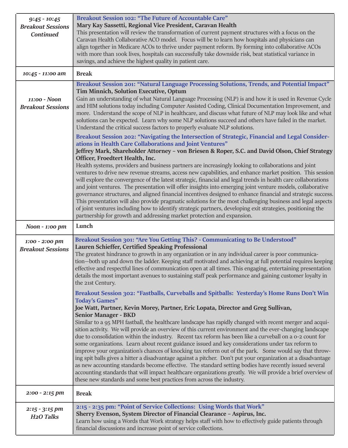| $9:45 - 10:45$<br><b>Breakout Sessions</b><br><b>Continued</b> | <b>Breakout Session 102: "The Future of Accountable Care"</b><br>Mary Kay Sassetti, Regional Vice President, Caravan Health<br>This presentation will review the transformation of current payment structures with a focus on the<br>Caravan Health Collaborative ACO model. Focus will be to learn how hospitals and physicians can<br>align together in Medicare ACOs to thrive under payment reform. By forming into collaborative ACOs<br>with more than 100k lives, hospitals can successfully take downside risk, beat statistical variance in<br>savings, and achieve the highest quality in patient care.                                                                                                                                                                                                                                                                                                                                                                                                                                                                                                                                                                                                                                                                                                                                                                                      |
|----------------------------------------------------------------|--------------------------------------------------------------------------------------------------------------------------------------------------------------------------------------------------------------------------------------------------------------------------------------------------------------------------------------------------------------------------------------------------------------------------------------------------------------------------------------------------------------------------------------------------------------------------------------------------------------------------------------------------------------------------------------------------------------------------------------------------------------------------------------------------------------------------------------------------------------------------------------------------------------------------------------------------------------------------------------------------------------------------------------------------------------------------------------------------------------------------------------------------------------------------------------------------------------------------------------------------------------------------------------------------------------------------------------------------------------------------------------------------------|
| 10:45 - 11:00 am                                               | <b>Break</b>                                                                                                                                                                                                                                                                                                                                                                                                                                                                                                                                                                                                                                                                                                                                                                                                                                                                                                                                                                                                                                                                                                                                                                                                                                                                                                                                                                                           |
| 11:00 - Noon<br><b>Breakout Sessions</b>                       | Breakout Session 201: "Natural Language Processing Solutions, Trends, and Potential Impact"<br>Tim Minnich, Solution Executive, Optum<br>Gain an understanding of what Natural Language Processing (NLP) is and how it is used in Revenue Cycle<br>and HIM solutions today including Computer Assisted Coding, Clinical Documentation Improvement, and<br>more. Understand the scope of NLP in healthcare, and discuss what future of NLP may look like and what<br>solutions can be expected. Learn why some NLP solutions succeed and others have failed in the market.<br>Understand the critical success factors to properly evaluate NLP solutions.                                                                                                                                                                                                                                                                                                                                                                                                                                                                                                                                                                                                                                                                                                                                               |
|                                                                | Breakout Session 202: "Navigating the Intersection of Strategic, Financial and Legal Consider-<br>ations in Health Care Collaborations and Joint Ventures"                                                                                                                                                                                                                                                                                                                                                                                                                                                                                                                                                                                                                                                                                                                                                                                                                                                                                                                                                                                                                                                                                                                                                                                                                                             |
|                                                                | Jeffrey Mark, Shareholder Attorney - von Briesen & Roper, S.C. and David Olson, Chief Strategy<br>Officer, Froedtert Health, Inc.<br>Health systems, providers and business partners are increasingly looking to collaborations and joint<br>ventures to drive new revenue streams, access new capabilities, and enhance market position. This session<br>will explore the convergence of the latest strategic, financial and legal trends in health care collaborations<br>and joint ventures. The presentation will offer insights into emerging joint venture models, collaborative<br>governance structures, and aligned financial incentives designed to enhance financial and strategic success.<br>This presentation will also provide pragmatic solutions for the most challenging business and legal aspects<br>of joint ventures including how to identify strategic partners, developing exit strategies, positioning the<br>partnership for growth and addressing market protection and expansion.                                                                                                                                                                                                                                                                                                                                                                                         |
| Noon - 1:00 pm                                                 | Lunch                                                                                                                                                                                                                                                                                                                                                                                                                                                                                                                                                                                                                                                                                                                                                                                                                                                                                                                                                                                                                                                                                                                                                                                                                                                                                                                                                                                                  |
| 1:00 - 2:00 pm<br><b>Breakout Sessions</b>                     | Breakout Session 301: "Are You Getting This? - Communicating to Be Understood"<br>Lauren Schieffer, Certified Speaking Professional<br>The greatest hindrance to growth in any organization or in any individual career is poor communica-<br>tion—both up and down the ladder. Keeping staff motivated and achieving at full potential requires keeping<br>effective and respectful lines of communication open at all times. This engaging, entertaining presentation<br>details the most important avenues to sustaining staff peak performance and gaining customer loyalty in<br>the 21st Century.<br>Breakout Session 302: "Fastballs, Curveballs and Spitballs: Yesterday's Home Runs Don't Win<br><b>Today's Games"</b><br>Joe Watt, Partner, Kevin Morey, Partner, Eric Lopata, Director and Greg Sullivan,<br><b>Senior Manager - BKD</b><br>Similar to a 95 MPH fastball, the healthcare landscape has rapidly changed with recent merger and acqui-<br>sition activity. We will provide an overview of this current environment and the ever-changing landscape<br>due to consolidation within the industry. Recent tax reform has been like a curveball on a o-2 count for<br>some organizations. Learn about recent guidance issued and key considerations under tax reform to<br>improve your organization's chances of knocking tax reform out of the park. Some would say that throw- |
|                                                                | ing spit balls gives a hitter a disadvantage against a pitcher. Don't put your organization at a disadvantage<br>as new accounting standards become effective. The standard setting bodies have recently issued several<br>accounting standards that will impact healthcare organizations greatly. We will provide a brief overview of<br>these new standards and some best practices from across the industry.                                                                                                                                                                                                                                                                                                                                                                                                                                                                                                                                                                                                                                                                                                                                                                                                                                                                                                                                                                                        |
| $2:00 - 2:15$ pm                                               | <b>Break</b>                                                                                                                                                                                                                                                                                                                                                                                                                                                                                                                                                                                                                                                                                                                                                                                                                                                                                                                                                                                                                                                                                                                                                                                                                                                                                                                                                                                           |
| $2:15 - 3:15$ pm                                               | 2:15 - 2:35 pm: "Point of Service Collections: Using Words that Work"                                                                                                                                                                                                                                                                                                                                                                                                                                                                                                                                                                                                                                                                                                                                                                                                                                                                                                                                                                                                                                                                                                                                                                                                                                                                                                                                  |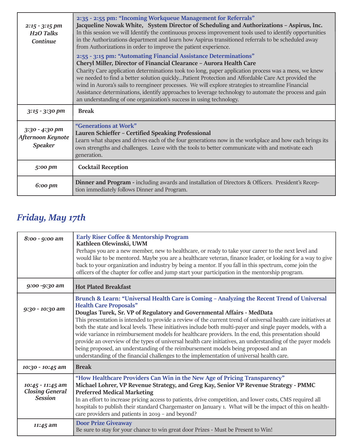| $2:15 - 3:15$ pm<br>H <sub>2</sub> O Talks<br>Continue  | 2:35 - 2:55 pm: "Incoming Workqueue Management for Referrals"<br>Jacqueline Nowak White, System Director of Scheduling and Authorizations - Aspirus, Inc.<br>In this session we will Identify the continuous process improvement tools used to identify opportunities<br>in the Authorizations department and learn how Aspirus transitioned referrals to be scheduled away<br>from Authorizations in order to improve the patient experience.<br>2:55 - 3:15 pm: "Automating Financial Assistance Determinations"<br>Cheryl Miller, Director of Financial Clearance - Aurora Health Care<br>Charity Care application determinations took too long, paper application process was a mess, we knew |
|---------------------------------------------------------|---------------------------------------------------------------------------------------------------------------------------------------------------------------------------------------------------------------------------------------------------------------------------------------------------------------------------------------------------------------------------------------------------------------------------------------------------------------------------------------------------------------------------------------------------------------------------------------------------------------------------------------------------------------------------------------------------|
|                                                         | we needed to find a better solution quicklyPatient Protection and Affordable Care Act provided the<br>wind in Aurora's sails to reengineer processes. We will explore strategies to streamline Financial<br>Assistance determinations, identify approaches to leverage technology to automate the process and gain<br>an understanding of one organization's success in using technology.                                                                                                                                                                                                                                                                                                         |
| $3:15 - 3:30$ pm                                        | <b>Break</b>                                                                                                                                                                                                                                                                                                                                                                                                                                                                                                                                                                                                                                                                                      |
| $3:30 - 4:30$ pm<br>Afternoon Keynote<br><b>Speaker</b> | "Generations at Work"<br>Lauren Schieffer - Certified Speaking Professional<br>Learn what shapes and drives each of the four generations now in the workplace and how each brings its<br>own strengths and challenges. Leave with the tools to better communicate with and motivate each<br>generation.                                                                                                                                                                                                                                                                                                                                                                                           |
| 5:00 pm                                                 | <b>Cocktail Reception</b>                                                                                                                                                                                                                                                                                                                                                                                                                                                                                                                                                                                                                                                                         |
| $6:00 \text{ pm}$                                       | Dinner and Program - including awards and installation of Directors & Officers. President's Recep-<br>tion immediately follows Dinner and Program.                                                                                                                                                                                                                                                                                                                                                                                                                                                                                                                                                |

## *Friday, May 17th*

| 8:00 - 9:00 am                                               | <b>Early Riser Coffee &amp; Mentorship Program</b><br>Kathleen Olewinski, UWM<br>Perhaps you are a new member, new to healthcare, or ready to take your career to the next level and<br>would like to be mentored. Maybe you are a healthcare veteran, finance leader, or looking for a way to give<br>back to your organization and industry by being a mentor. If you fall in this spectrum, come join the<br>officers of the chapter for coffee and jump start your participation in the mentorship program.                                                                                                                                                                                                                                                                                                                                  |
|--------------------------------------------------------------|--------------------------------------------------------------------------------------------------------------------------------------------------------------------------------------------------------------------------------------------------------------------------------------------------------------------------------------------------------------------------------------------------------------------------------------------------------------------------------------------------------------------------------------------------------------------------------------------------------------------------------------------------------------------------------------------------------------------------------------------------------------------------------------------------------------------------------------------------|
| 9:00 -9:30 am                                                | <b>Hot Plated Breakfast</b>                                                                                                                                                                                                                                                                                                                                                                                                                                                                                                                                                                                                                                                                                                                                                                                                                      |
| 9:30 - 10:30 am                                              | Brunch & Learn: "Universal Health Care is Coming - Analyzing the Recent Trend of Universal<br><b>Health Care Proposals"</b><br>Douglas Turek, Sr. VP of Regulatory and Governmental Affairs - MedData<br>This presentation is intended to provide a review of the current trend of universal health care initiatives at<br>both the state and local levels. These initiatives include both multi-payer and single payer models, with a<br>wide variance in reimbursement models for healthcare providers. In the end, this presentation should<br>provide an overview of the types of universal health care initiatives, an understanding of the payer models<br>being proposed, an understanding of the reimbursement models being proposed and an<br>understanding of the financial challenges to the implementation of universal health care. |
| 10:30 - 10:45 am                                             | <b>Break</b>                                                                                                                                                                                                                                                                                                                                                                                                                                                                                                                                                                                                                                                                                                                                                                                                                                     |
| 10:45 - 11:45 am<br><b>Closing General</b><br><b>Session</b> | "How Healthcare Providers Can Win in the New Age of Pricing Transparency"<br>Michael Lohrer, VP Revenue Strategy, and Greg Kay, Senior VP Revenue Strategy - PMMC<br><b>Preferred Medical Marketing</b><br>In an effort to increase pricing access to patients, drive competition, and lower costs, CMS required all<br>hospitals to publish their standard Chargemaster on January 1. What will be the impact of this on health-<br>care providers and patients in 2019 - and beyond?                                                                                                                                                                                                                                                                                                                                                           |
| 11:45 am                                                     | <b>Door Prize Giveaway</b><br>Be sure to stay for your chance to win great door Prizes - Must be Present to Win!                                                                                                                                                                                                                                                                                                                                                                                                                                                                                                                                                                                                                                                                                                                                 |